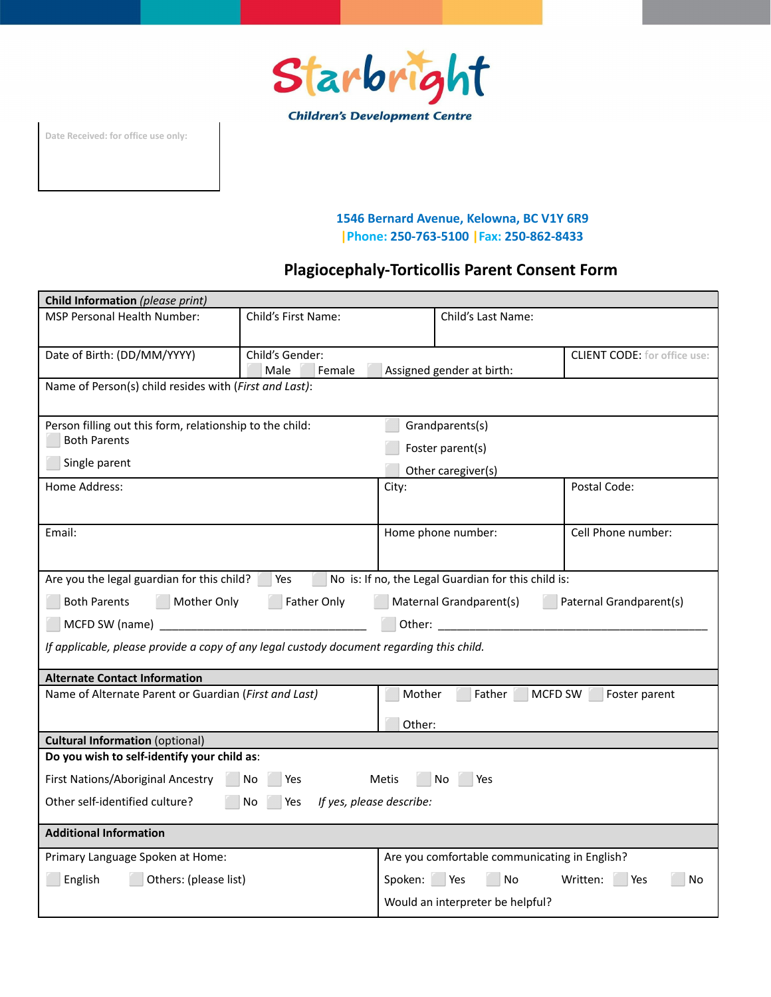

**Date Received: for office use only:**

#### **1546 Bernard Avenue, Kelowna, BC V1Y 6R9 |Phone: 250-763-5100 |Fax: 250-862-8433**

## **Plagiocephaly-Torticollis Parent Consent Form**

| Child Information (please print)                                                                        |                                   |                                            |                                                                                                                |                                     |  |  |
|---------------------------------------------------------------------------------------------------------|-----------------------------------|--------------------------------------------|----------------------------------------------------------------------------------------------------------------|-------------------------------------|--|--|
| <b>MSP Personal Health Number:</b>                                                                      | Child's First Name:               |                                            | Child's Last Name:                                                                                             |                                     |  |  |
| Date of Birth: (DD/MM/YYYY)                                                                             | Child's Gender:<br>Male<br>Female | Assigned gender at birth:                  |                                                                                                                | <b>CLIENT CODE:</b> for office use: |  |  |
| Name of Person(s) child resides with (First and Last):                                                  |                                   |                                            |                                                                                                                |                                     |  |  |
| Person filling out this form, relationship to the child:<br><b>Both Parents</b>                         |                                   | Grandparents(s)                            |                                                                                                                |                                     |  |  |
| Single parent                                                                                           |                                   | Foster parent(s)<br>Other caregiver(s)     |                                                                                                                |                                     |  |  |
| Home Address:                                                                                           |                                   | City:                                      |                                                                                                                | Postal Code:                        |  |  |
|                                                                                                         |                                   |                                            |                                                                                                                | Cell Phone number:                  |  |  |
| Email:                                                                                                  |                                   | Home phone number:                         |                                                                                                                |                                     |  |  |
| Are you the legal guardian for this child?   Yes                                                        |                                   |                                            | No is: If no, the Legal Guardian for this child is:                                                            |                                     |  |  |
| <b>Both Parents</b><br>Mother Only<br>Father Only<br>Maternal Grandparent(s)<br>Paternal Grandparent(s) |                                   |                                            |                                                                                                                |                                     |  |  |
| MCFD SW (name)                                                                                          |                                   |                                            | Other: and the contract of the contract of the contract of the contract of the contract of the contract of the |                                     |  |  |
| If applicable, please provide a copy of any legal custody document regarding this child.                |                                   |                                            |                                                                                                                |                                     |  |  |
| <b>Alternate Contact Information</b>                                                                    |                                   |                                            |                                                                                                                |                                     |  |  |
| Name of Alternate Parent or Guardian (First and Last)                                                   |                                   |                                            | Mother<br>Father<br>MCFD SW<br>Foster parent                                                                   |                                     |  |  |
| Other:                                                                                                  |                                   |                                            |                                                                                                                |                                     |  |  |
| <b>Cultural Information (optional)</b>                                                                  |                                   |                                            |                                                                                                                |                                     |  |  |
| Do you wish to self-identify your child as:                                                             |                                   |                                            |                                                                                                                |                                     |  |  |
| First Nations/Aboriginal Ancestry<br>No<br>Yes<br>Metis<br>No<br>Yes                                    |                                   |                                            |                                                                                                                |                                     |  |  |
| Other self-identified culture?<br>If yes, please describe:<br>No<br>Yes                                 |                                   |                                            |                                                                                                                |                                     |  |  |
| <b>Additional Information</b>                                                                           |                                   |                                            |                                                                                                                |                                     |  |  |
| Primary Language Spoken at Home:                                                                        |                                   |                                            | Are you comfortable communicating in English?                                                                  |                                     |  |  |
| English<br>Others: (please list)                                                                        |                                   | Spoken: Yes<br>No<br>Written:<br>Yes<br>No |                                                                                                                |                                     |  |  |
|                                                                                                         |                                   | Would an interpreter be helpful?           |                                                                                                                |                                     |  |  |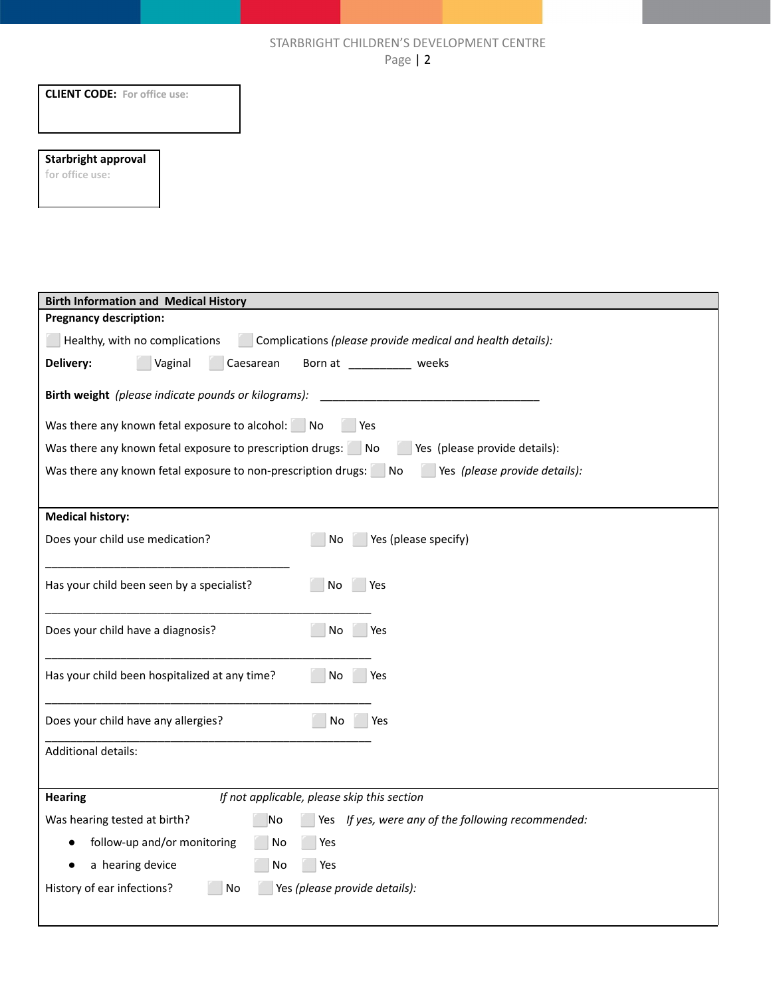#### STARBRIGHT CHILDREN'S DEVELOPMENT CENTRE Page | 2

| $\sim$ 0 $\sim$ 1                                                                                 |
|---------------------------------------------------------------------------------------------------|
| <b>CLIENT CODE:</b> For office use:                                                               |
| <b>Starbright approval</b><br>for office use:                                                     |
|                                                                                                   |
|                                                                                                   |
| <b>Birth Information and Medical History</b>                                                      |
| <b>Pregnancy description:</b>                                                                     |
| Healthy, with no complications<br>Complications (please provide medical and health details):      |
| Delivery:<br>Vaginal<br>Born at __________ weeks<br>Caesarean                                     |
| Birth weight (please indicate pounds or kilograms):                                               |
| Was there any known fetal exposure to alcohol: No<br>Yes                                          |
| Was there any known fetal exposure to prescription drugs: No<br>Yes (please provide details):     |
| Was there any known fetal exposure to non-prescription drugs: No<br>Yes (please provide details): |
| <b>Medical history:</b>                                                                           |
| Yes (please specify)<br>Does your child use medication?<br>No                                     |
| Has your child been seen by a specialist?<br>No<br>Yes                                            |
| No Yes<br>Does your child have a diagnosis?                                                       |
| Has your child been hospitalized at any time?<br>No<br>Yes                                        |
| Does your child have any allergies?<br>No<br>Yes                                                  |
| Additional details:                                                                               |
| <b>Hearing</b><br>If not applicable, please skip this section                                     |
| Was hearing tested at birth?<br>Yes If yes, were any of the following recommended:<br>No          |
| follow-up and/or monitoring<br>No<br>Yes                                                          |
| a hearing device<br>No<br>Yes                                                                     |
| History of ear infections?<br>Yes (please provide details):<br>No                                 |

 $\overline{\phantom{a}}$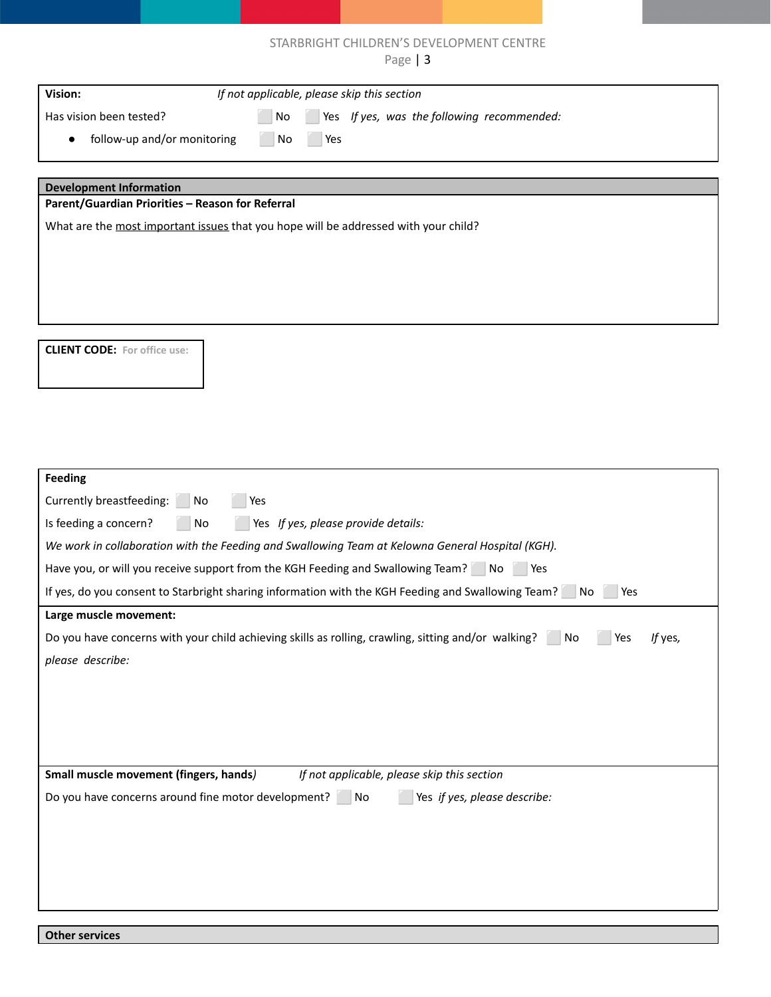### STARBRIGHT CHILDREN'S DEVELOPMENT CENTRE

| Page   $3$                                                                                                               |
|--------------------------------------------------------------------------------------------------------------------------|
| Vision:<br>If not applicable, please skip this section                                                                   |
| Has vision been tested?<br>Yes If yes, was the following recommended:<br>No                                              |
| follow-up and/or monitoring<br>No<br>Yes                                                                                 |
|                                                                                                                          |
| <b>Development Information</b>                                                                                           |
| Parent/Guardian Priorities - Reason for Referral                                                                         |
| What are the most important issues that you hope will be addressed with your child?                                      |
|                                                                                                                          |
|                                                                                                                          |
|                                                                                                                          |
|                                                                                                                          |
| <b>CLIENT CODE:</b> For office use:                                                                                      |
|                                                                                                                          |
|                                                                                                                          |
|                                                                                                                          |
|                                                                                                                          |
|                                                                                                                          |
| Feeding                                                                                                                  |
| Currently breastfeeding: No<br>Yes                                                                                       |
| Is feeding a concern?<br>No<br>Yes If yes, please provide details:                                                       |
| We work in collaboration with the Feeding and Swallowing Team at Kelowna General Hospital (KGH).                         |
| Have you, or will you receive support from the KGH Feeding and Swallowing Team? No Yes                                   |
| If yes, do you consent to Starbright sharing information with the KGH Feeding and Swallowing Team?<br>Yes<br>No          |
| Large muscle movement:                                                                                                   |
| Do you have concerns with your child achieving skills as rolling, crawling, sitting and/or walking? No<br>Yes<br>If yes, |
| please describe:                                                                                                         |
|                                                                                                                          |
|                                                                                                                          |
|                                                                                                                          |
|                                                                                                                          |
| Small muscle movement (fingers, hands)<br>If not applicable, please skip this section                                    |
| Do you have concerns around fine motor development?<br>Yes if yes, please describe:<br>$\blacksquare$ No                 |
|                                                                                                                          |
|                                                                                                                          |
|                                                                                                                          |
|                                                                                                                          |

**Other services**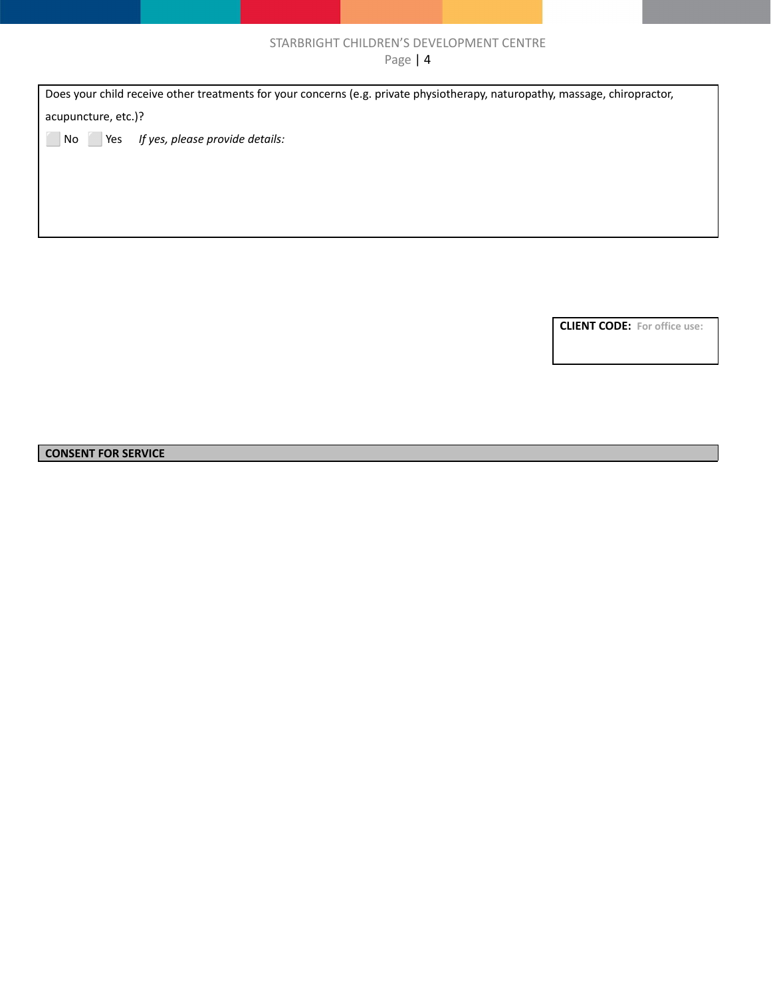## STARBRIGHT CHILDREN'S DEVELOPMENT CENTRE

Page | 4

Does your child receive other treatments for your concerns (e.g. private physiotherapy, naturopathy, massage, chiropractor, acupuncture, etc.)? ⬜ No ⬜ Yes *If yes, please provide details:*

**CLIENT CODE: For office use:**

#### **CONSENT FOR SERVICE**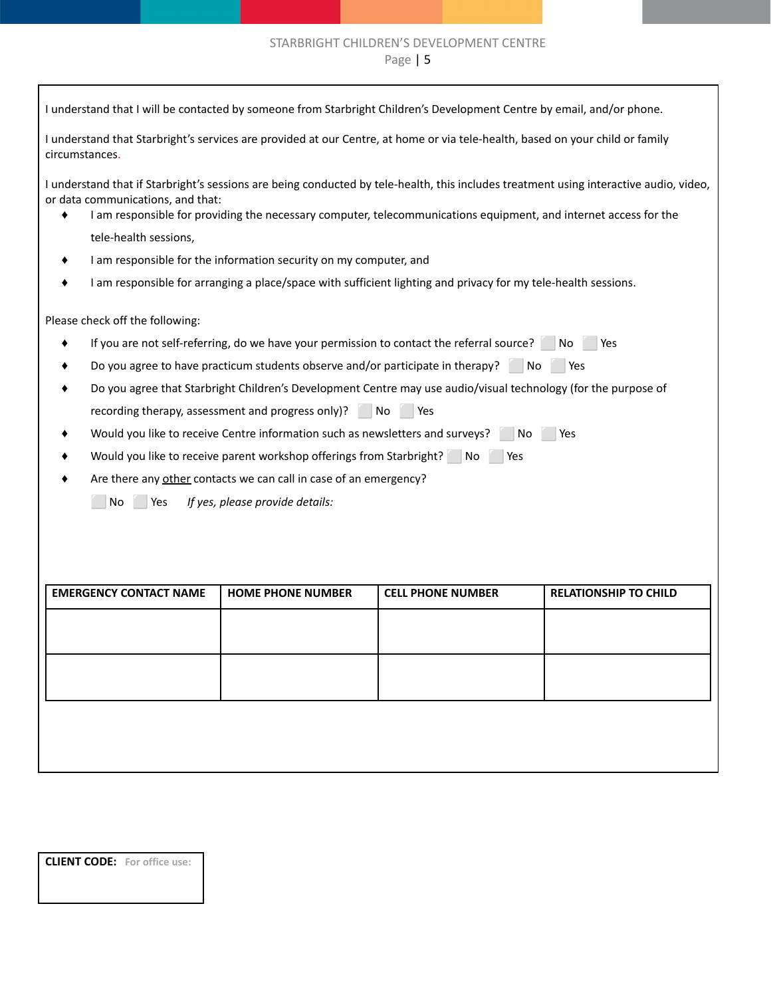# STARBRIGHT CHILDREN'S DEVELOPMENT CENTRE

Page | 5

| I understand that I will be contacted by someone from Starbright Children's Development Centre by email, and/or phone.                                                                                                                                                                          |                                                                                                                |                          |                              |  |
|-------------------------------------------------------------------------------------------------------------------------------------------------------------------------------------------------------------------------------------------------------------------------------------------------|----------------------------------------------------------------------------------------------------------------|--------------------------|------------------------------|--|
| I understand that Starbright's services are provided at our Centre, at home or via tele-health, based on your child or family<br>circumstances.                                                                                                                                                 |                                                                                                                |                          |                              |  |
| I understand that if Starbright's sessions are being conducted by tele-health, this includes treatment using interactive audio, video,<br>or data communications, and that:<br>I am responsible for providing the necessary computer, telecommunications equipment, and internet access for the |                                                                                                                |                          |                              |  |
| tele-health sessions,                                                                                                                                                                                                                                                                           |                                                                                                                |                          |                              |  |
|                                                                                                                                                                                                                                                                                                 | I am responsible for the information security on my computer, and                                              |                          |                              |  |
|                                                                                                                                                                                                                                                                                                 | I am responsible for arranging a place/space with sufficient lighting and privacy for my tele-health sessions. |                          |                              |  |
| Please check off the following:                                                                                                                                                                                                                                                                 |                                                                                                                |                          |                              |  |
|                                                                                                                                                                                                                                                                                                 | If you are not self-referring, do we have your permission to contact the referral source? No                   |                          | Yes                          |  |
|                                                                                                                                                                                                                                                                                                 | Do you agree to have practicum students observe and/or participate in therapy?                                 | No                       | l Yes                        |  |
|                                                                                                                                                                                                                                                                                                 | Do you agree that Starbright Children's Development Centre may use audio/visual technology (for the purpose of |                          |                              |  |
|                                                                                                                                                                                                                                                                                                 | recording therapy, assessment and progress only)? No Nes                                                       |                          |                              |  |
|                                                                                                                                                                                                                                                                                                 | Would you like to receive Centre information such as newsletters and surveys? No                               |                          | Yes                          |  |
|                                                                                                                                                                                                                                                                                                 |                                                                                                                | Yes                      |                              |  |
| Would you like to receive parent workshop offerings from Starbright? No                                                                                                                                                                                                                         |                                                                                                                |                          |                              |  |
| Are there any other contacts we can call in case of an emergency?                                                                                                                                                                                                                               |                                                                                                                |                          |                              |  |
| If yes, please provide details:<br>No.<br>Yes                                                                                                                                                                                                                                                   |                                                                                                                |                          |                              |  |
|                                                                                                                                                                                                                                                                                                 |                                                                                                                |                          |                              |  |
|                                                                                                                                                                                                                                                                                                 |                                                                                                                |                          |                              |  |
|                                                                                                                                                                                                                                                                                                 |                                                                                                                |                          |                              |  |
| <b>EMERGENCY CONTACT NAME</b>                                                                                                                                                                                                                                                                   | <b>HOME PHONE NUMBER</b>                                                                                       | <b>CELL PHONE NUMBER</b> | <b>RELATIONSHIP TO CHILD</b> |  |
|                                                                                                                                                                                                                                                                                                 |                                                                                                                |                          |                              |  |
|                                                                                                                                                                                                                                                                                                 |                                                                                                                |                          |                              |  |
|                                                                                                                                                                                                                                                                                                 |                                                                                                                |                          |                              |  |
|                                                                                                                                                                                                                                                                                                 |                                                                                                                |                          |                              |  |
|                                                                                                                                                                                                                                                                                                 |                                                                                                                |                          |                              |  |
|                                                                                                                                                                                                                                                                                                 |                                                                                                                |                          |                              |  |
|                                                                                                                                                                                                                                                                                                 |                                                                                                                |                          |                              |  |
|                                                                                                                                                                                                                                                                                                 |                                                                                                                |                          |                              |  |
|                                                                                                                                                                                                                                                                                                 |                                                                                                                |                          |                              |  |

**CLIENT CODE: For office use:**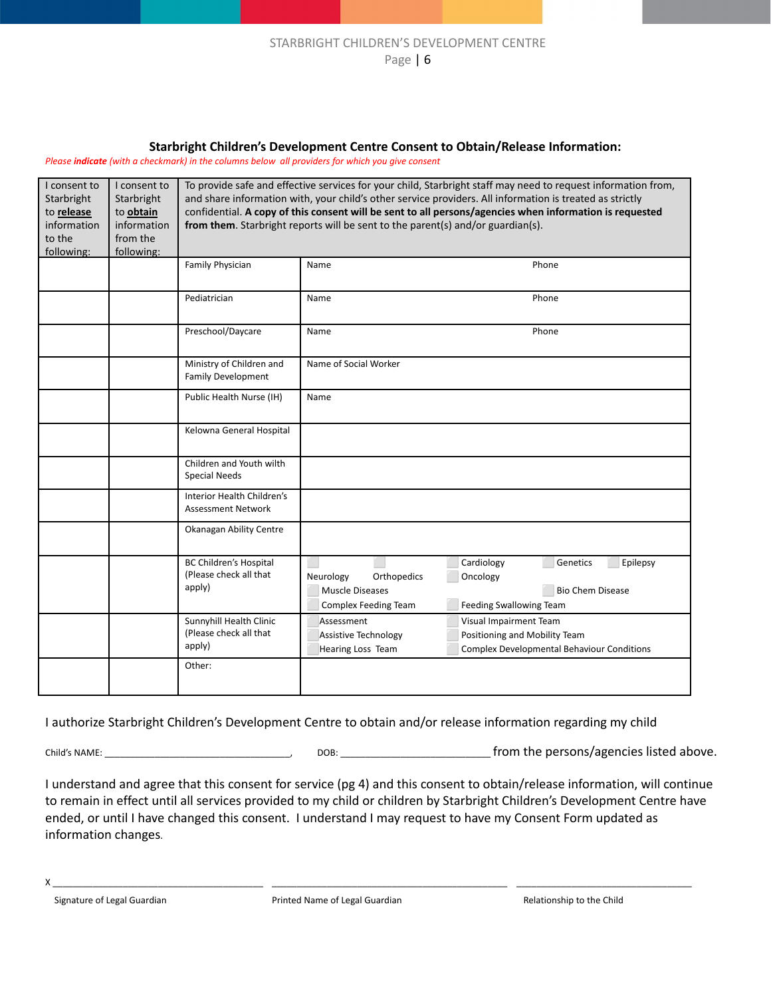#### **Starbright Children's Development Centre Consent to Obtain/Release Information:**

*Please indicate (with a checkmark) in the columns below all providers for which you give consent*

| I consent to          | I consent to            | To provide safe and effective services for your child, Starbright staff may need to request information from, |                                                                                                                                                                                            |                                                                                                          |  |  |
|-----------------------|-------------------------|---------------------------------------------------------------------------------------------------------------|--------------------------------------------------------------------------------------------------------------------------------------------------------------------------------------------|----------------------------------------------------------------------------------------------------------|--|--|
| Starbright            | Starbright              |                                                                                                               |                                                                                                                                                                                            | and share information with, your child's other service providers. All information is treated as strictly |  |  |
| to release            | to obtain               |                                                                                                               | confidential. A copy of this consent will be sent to all persons/agencies when information is requested<br>from them. Starbright reports will be sent to the parent(s) and/or guardian(s). |                                                                                                          |  |  |
| information<br>to the | information<br>from the |                                                                                                               |                                                                                                                                                                                            |                                                                                                          |  |  |
| following:            | following:              |                                                                                                               |                                                                                                                                                                                            |                                                                                                          |  |  |
|                       |                         | Family Physician                                                                                              | Name                                                                                                                                                                                       | Phone                                                                                                    |  |  |
|                       |                         |                                                                                                               |                                                                                                                                                                                            |                                                                                                          |  |  |
|                       |                         | Pediatrician                                                                                                  | Name                                                                                                                                                                                       | Phone                                                                                                    |  |  |
|                       |                         | Preschool/Daycare                                                                                             | Name                                                                                                                                                                                       | Phone                                                                                                    |  |  |
|                       |                         | Ministry of Children and<br>Family Development                                                                | Name of Social Worker                                                                                                                                                                      |                                                                                                          |  |  |
|                       |                         | Public Health Nurse (IH)                                                                                      | Name                                                                                                                                                                                       |                                                                                                          |  |  |
|                       |                         | Kelowna General Hospital                                                                                      |                                                                                                                                                                                            |                                                                                                          |  |  |
|                       |                         | Children and Youth wilth<br><b>Special Needs</b>                                                              |                                                                                                                                                                                            |                                                                                                          |  |  |
|                       |                         | Interior Health Children's<br><b>Assessment Network</b>                                                       |                                                                                                                                                                                            |                                                                                                          |  |  |
|                       |                         | Okanagan Ability Centre                                                                                       |                                                                                                                                                                                            |                                                                                                          |  |  |
|                       |                         | <b>BC Children's Hospital</b>                                                                                 |                                                                                                                                                                                            | Cardiology<br>Genetics<br>Epilepsy                                                                       |  |  |
|                       |                         | (Please check all that                                                                                        | Neurology<br>Orthopedics                                                                                                                                                                   | Oncology                                                                                                 |  |  |
|                       |                         | apply)                                                                                                        | <b>Muscle Diseases</b>                                                                                                                                                                     | <b>Bio Chem Disease</b>                                                                                  |  |  |
|                       |                         |                                                                                                               | <b>Complex Feeding Team</b>                                                                                                                                                                | Feeding Swallowing Team                                                                                  |  |  |
|                       |                         | Sunnyhill Health Clinic                                                                                       | Assessment                                                                                                                                                                                 | Visual Impairment Team                                                                                   |  |  |
|                       |                         | (Please check all that                                                                                        | Assistive Technology                                                                                                                                                                       | Positioning and Mobility Team                                                                            |  |  |
|                       |                         | apply)                                                                                                        | Hearing Loss Team                                                                                                                                                                          | <b>Complex Developmental Behaviour Conditions</b>                                                        |  |  |
|                       |                         | Other:                                                                                                        |                                                                                                                                                                                            |                                                                                                          |  |  |
|                       |                         |                                                                                                               |                                                                                                                                                                                            |                                                                                                          |  |  |

I authorize Starbright Children's Development Centre to obtain and/or release information regarding my child

Child's NAME: \_\_\_\_\_\_\_\_\_\_\_\_\_\_\_\_\_\_\_\_\_\_\_\_\_\_\_\_\_\_\_\_\_\_\_\_\_, DOB: \_\_\_\_\_\_\_\_\_\_\_\_\_\_\_\_\_\_\_\_\_\_\_\_\_\_\_\_\_\_ from the persons/agencies listed above.

I understand and agree that this consent for service (pg 4) and this consent to obtain/release information, will continue to remain in effect until all services provided to my child or children by Starbright Children's Development Centre have ended, or until I have changed this consent. I understand I may request to have my Consent Form updated as information changes.

X \_\_\_\_\_\_\_\_\_\_\_\_\_\_\_\_\_\_\_\_\_\_\_\_\_\_\_\_\_\_\_\_\_\_\_\_\_\_\_\_\_\_ \_\_\_\_\_\_\_\_\_\_\_\_\_\_\_\_\_\_\_\_\_\_\_\_\_\_\_\_\_\_\_\_\_\_\_\_\_\_\_\_\_\_\_\_\_\_\_ \_\_\_\_\_\_\_\_\_\_\_\_\_\_\_\_\_\_\_\_\_\_\_\_\_\_\_\_\_\_\_\_\_\_\_